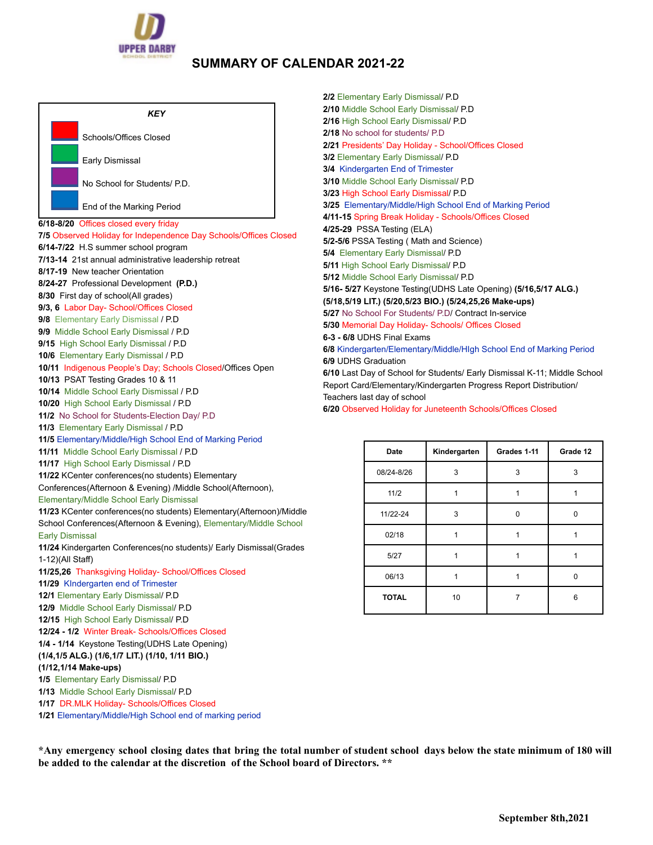

## **SUMMARY OF CALENDAR 2021-22**

| KEY                                                                                     | 2<br>2 |
|-----------------------------------------------------------------------------------------|--------|
| Schools/Offices Closed                                                                  | 2<br>2 |
| Early Dismissal                                                                         | 3<br>3 |
| No School for Students/ P.D.                                                            | 3<br>3 |
| End of the Marking Period                                                               | 3<br>4 |
| 6/18-8/20 Offices closed every friday                                                   | 4      |
| 7/5 Observed Holiday for Independence Day Schools/Offices Closed                        | 5      |
| 6/14-7/22 H.S summer school program                                                     | 5      |
| 7/13-14 21st annual administrative leadership retreat                                   | 5      |
| 8/17-19 New teacher Orientation                                                         | 5      |
| 8/24-27 Professional Development (P.D.)                                                 | 5      |
| 8/30 First day of school(All grades)                                                    |        |
| 9/3, 6 Labor Day- School/Offices Closed                                                 | (<br>5 |
| 9/8 Elementary Early Dismissal / P.D                                                    | 5      |
| 9/9 Middle School Early Dismissal / P.D                                                 | 6      |
| 9/15 High School Early Dismissal / P.D                                                  | 6      |
| 10/6 Elementary Early Dismissal / P.D                                                   | 6      |
| 10/11 Indigenous People's Day; Schools Closed/Offices Open                              | 6      |
| 10/13 PSAT Testing Grades 10 & 11                                                       | F      |
| 10/14 Middle School Early Dismissal / P.D                                               | Τ      |
| 10/20 High School Early Dismissal / P.D                                                 | 6      |
| 11/2 No School for Students-Election Day/ P.D                                           |        |
| 11/3 Elementary Early Dismissal / P.D                                                   |        |
| 11/5 Elementary/Middle/High School End of Marking Period                                |        |
| 11/11 Middle School Early Dismissal / P.D                                               |        |
| 11/17 High School Early Dismissal / P.D                                                 |        |
| 11/22 KCenter conferences(no students) Elementary                                       |        |
| Conferences(Afternoon & Evening) /Middle School(Afternoon),                             |        |
| Elementary/Middle School Early Dismissal                                                |        |
| 11/23 KCenter conferences(no students) Elementary(Afternoon)/Middle                     |        |
| School Conferences(Afternoon & Evening), Elementary/Middle School                       |        |
| <b>Early Dismissal</b>                                                                  |        |
| 11/24 Kindergarten Conferences(no students)/ Early Dismissal(Grades<br>1-12)(All Staff) |        |
| 11/25,26 Thanksgiving Holiday- School/Offices Closed                                    |        |
| 11/29 Kindergarten end of Trimester                                                     |        |
| 12/1 Elementary Early Dismissal/ P.D                                                    |        |
| 12/9 Middle School Early Dismissal/ P.D                                                 |        |
| 12/15 High School Early Dismissal/ P.D                                                  |        |
| 12/24 - 1/2 Winter Break- Schools/Offices Closed                                        |        |
| 1/4 - 1/14 Keystone Testing(UDHS Late Opening)                                          |        |
| (1/4,1/5 ALG.) (1/6,1/7 LIT.) (1/10, 1/11 BIO.)                                         |        |
| (1/12,1/14 Make-ups)                                                                    |        |
| 1/5 Elementary Early Dismissal/ P.D                                                     |        |
| 1/13 Middle School Early Dismissal/ P.D                                                 |        |
| 1/17 DR.MLK Holiday- Schools/Offices Closed                                             |        |
| 1/21 Elementary/Middle/High School end of marking period                                |        |

**2/2** Elementary Early Dismissal/ P.D **2/10** Middle School Early Dismissal/ P.D **2/16** High School Early Dismissal/ P.D **2/18** No school for students/ P.D **2/21** Presidents' Day Holiday - School/Offices Closed **3/2** Elementary Early Dismissal/ P.D **3/4** Kindergarten End of Trimester **3/10** Middle School Early Dismissal/ P.D **3/23** High School Early Dismissal/ P.D **3/25** Elementary/Middle/High School End of Marking Period **4/11-15** Spring Break Holiday - Schools/Offices Closed **4/25-29** PSSA Testing (ELA) **5/2-5/6** PSSA Testing ( Math and Science) **5/4** Elementary Early Dismissal/ P.D **5/11** High School Early Dismissal/ P.D **5/12** Middle School Early Dismissal/ P.D **5/16- 5/27** Keystone Testing(UDHS Late Opening) **(5/16,5/17 ALG.) (5/18,5/19 LIT.) (5/20,5/23 BIO.) (5/24,25,26 Make-ups) 5/27** No School For Students/ P.D/ Contract In-service **5/30** Memorial Day Holiday- Schools/ Offices Closed **6-3 - 6/8** UDHS Final Exams **6/8** Kindergarten/Elementary/Middle/HIgh School End of Marking Period **6/9** UDHS Graduation **6/10** Last Day of School for Students/ Early Dismissal K-11; Middle School Report Card/Elementary/Kindergarten Progress Report Distribution/ eachers last day of school

**6/20** Observed Holiday for Juneteenth Schools/Offices Closed

| <b>Date</b>  | Kindergarten | Grades 1-11 | Grade 12 |
|--------------|--------------|-------------|----------|
| 08/24-8/26   | 3            | 3           | 3        |
| 11/2         |              |             |          |
| 11/22-24     | 3            | 0           | n        |
| 02/18        |              |             |          |
| 5/27         |              |             |          |
| 06/13        |              |             | n        |
| <b>TOTAL</b> | 10           |             | 6        |

\*Any emergency school closing dates that bring the total number of student school days below the state minimum of 180 will **be added to the calendar at the discretion of the School board of Directors. \*\***